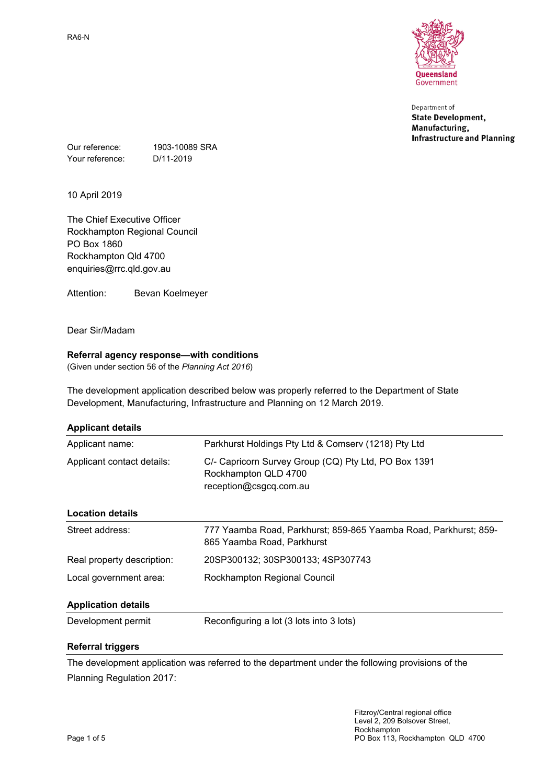

Department of **State Development,** Manufacturing, **Infrastructure and Planning** 

Our reference: 1903-10089 SRA Your reference: D/11-2019

10 April 2019

The Chief Executive Officer Rockhampton Regional Council PO Box 1860 Rockhampton Qld 4700 enquiries@rrc.qld.gov.au

Attention: Bevan Koelmeyer

Dear Sir/Madam

### **Referral agency response—with conditions**

(Given under section 56 of the *Planning Act 2016*)

The development application described below was properly referred to the Department of State Development, Manufacturing, Infrastructure and Planning on 12 March 2019.

| <b>Applicant details</b>   |                                                                                                        |  |
|----------------------------|--------------------------------------------------------------------------------------------------------|--|
| Applicant name:            | Parkhurst Holdings Pty Ltd & Comserv (1218) Pty Ltd                                                    |  |
| Applicant contact details: | C/- Capricorn Survey Group (CQ) Pty Ltd, PO Box 1391<br>Rockhampton QLD 4700<br>reception@csgcq.com.au |  |
| <b>Location details</b>    |                                                                                                        |  |
| Street address:            | 777 Yaamba Road, Parkhurst; 859-865 Yaamba Road, Parkhurst; 859-<br>865 Yaamba Road, Parkhurst         |  |
| Real property description: | 20SP300132; 30SP300133; 4SP307743                                                                      |  |
| Local government area:     | Rockhampton Regional Council                                                                           |  |
| <b>Application details</b> |                                                                                                        |  |
| Development permit         | Reconfiguring a lot (3 lots into 3 lots)                                                               |  |

### **Referral triggers**

The development application was referred to the department under the following provisions of the Planning Regulation 2017: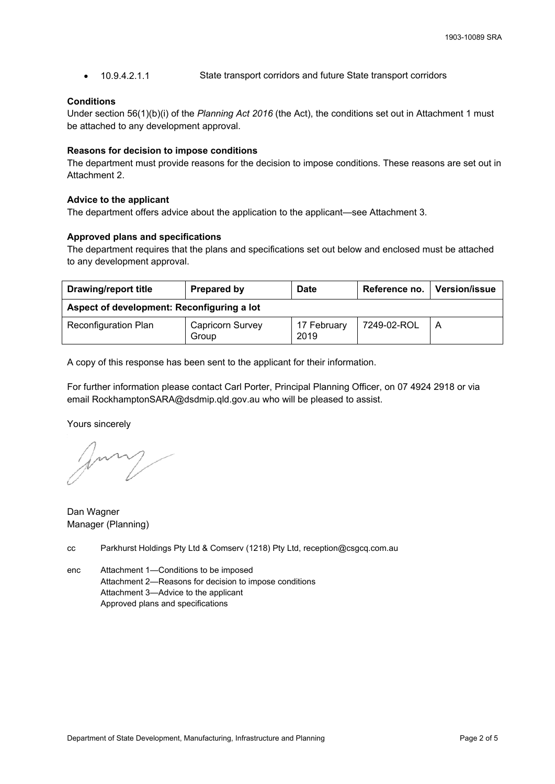10.9.4.2.1.1 State transport corridors and future State transport corridors

### **Conditions**

Under section 56(1)(b)(i) of the *Planning Act 2016* (the Act), the conditions set out in Attachment 1 must be attached to any development approval.

#### **Reasons for decision to impose conditions**

The department must provide reasons for the decision to impose conditions. These reasons are set out in Attachment 2.

### **Advice to the applicant**

The department offers advice about the application to the applicant—see Attachment 3.

### **Approved plans and specifications**

The department requires that the plans and specifications set out below and enclosed must be attached to any development approval.

| <b>Drawing/report title</b>                | Prepared by                      | Date                | Reference no. | <b>Version/issue</b> |
|--------------------------------------------|----------------------------------|---------------------|---------------|----------------------|
| Aspect of development: Reconfiguring a lot |                                  |                     |               |                      |
| <b>Reconfiguration Plan</b>                | <b>Capricorn Survey</b><br>Group | 17 February<br>2019 | 7249-02-ROL   | A                    |

A copy of this response has been sent to the applicant for their information.

For further information please contact Carl Porter, Principal Planning Officer, on 07 4924 2918 or via email RockhamptonSARA@dsdmip.qld.gov.au who will be pleased to assist.

Yours sincerely

form

Dan Wagner Manager (Planning)

- cc Parkhurst Holdings Pty Ltd & Comserv (1218) Pty Ltd, reception@csgcq.com.au
- enc Attachment 1—Conditions to be imposed Attachment 2—Reasons for decision to impose conditions Attachment 3—Advice to the applicant Approved plans and specifications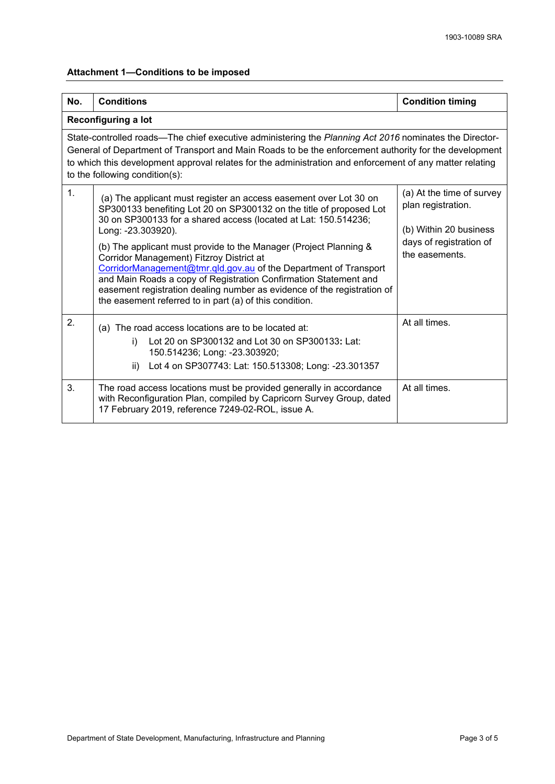# **Attachment 1—Conditions to be imposed**

| No.                                                                                                                                                                                                                                                                                                                                                           | <b>Conditions</b>                                                                                                                                                                                                                                                                                                                                                                                                                                                                                                                                                                                                                | <b>Condition timing</b>                                                                                                |  |  |
|---------------------------------------------------------------------------------------------------------------------------------------------------------------------------------------------------------------------------------------------------------------------------------------------------------------------------------------------------------------|----------------------------------------------------------------------------------------------------------------------------------------------------------------------------------------------------------------------------------------------------------------------------------------------------------------------------------------------------------------------------------------------------------------------------------------------------------------------------------------------------------------------------------------------------------------------------------------------------------------------------------|------------------------------------------------------------------------------------------------------------------------|--|--|
|                                                                                                                                                                                                                                                                                                                                                               | Reconfiguring a lot                                                                                                                                                                                                                                                                                                                                                                                                                                                                                                                                                                                                              |                                                                                                                        |  |  |
| State-controlled roads—The chief executive administering the Planning Act 2016 nominates the Director-<br>General of Department of Transport and Main Roads to be the enforcement authority for the development<br>to which this development approval relates for the administration and enforcement of any matter relating<br>to the following condition(s): |                                                                                                                                                                                                                                                                                                                                                                                                                                                                                                                                                                                                                                  |                                                                                                                        |  |  |
| 1.                                                                                                                                                                                                                                                                                                                                                            | (a) The applicant must register an access easement over Lot 30 on<br>SP300133 benefiting Lot 20 on SP300132 on the title of proposed Lot<br>30 on SP300133 for a shared access (located at Lat: 150.514236;<br>Long: -23.303920).<br>(b) The applicant must provide to the Manager (Project Planning &<br>Corridor Management) Fitzroy District at<br>CorridorManagement@tmr.qld.gov.au of the Department of Transport<br>and Main Roads a copy of Registration Confirmation Statement and<br>easement registration dealing number as evidence of the registration of<br>the easement referred to in part (a) of this condition. | (a) At the time of survey<br>plan registration.<br>(b) Within 20 business<br>days of registration of<br>the easements. |  |  |
| 2.                                                                                                                                                                                                                                                                                                                                                            | (a) The road access locations are to be located at:<br>Lot 20 on SP300132 and Lot 30 on SP300133: Lat:<br>i)<br>150.514236; Long: -23.303920;<br>Lot 4 on SP307743: Lat: 150.513308; Long: -23.301357<br>ii)                                                                                                                                                                                                                                                                                                                                                                                                                     | At all times.                                                                                                          |  |  |
| 3.                                                                                                                                                                                                                                                                                                                                                            | The road access locations must be provided generally in accordance                                                                                                                                                                                                                                                                                                                                                                                                                                                                                                                                                               | At all times.                                                                                                          |  |  |
|                                                                                                                                                                                                                                                                                                                                                               | with Reconfiguration Plan, compiled by Capricorn Survey Group, dated<br>17 February 2019, reference 7249-02-ROL, issue A.                                                                                                                                                                                                                                                                                                                                                                                                                                                                                                        |                                                                                                                        |  |  |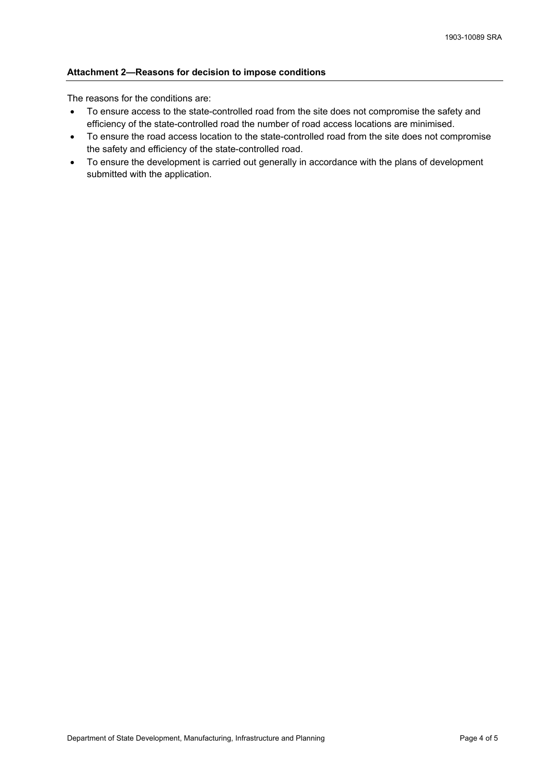### **Attachment 2—Reasons for decision to impose conditions**

The reasons for the conditions are:

- To ensure access to the state-controlled road from the site does not compromise the safety and efficiency of the state-controlled road the number of road access locations are minimised.
- To ensure the road access location to the state-controlled road from the site does not compromise the safety and efficiency of the state-controlled road.
- To ensure the development is carried out generally in accordance with the plans of development submitted with the application.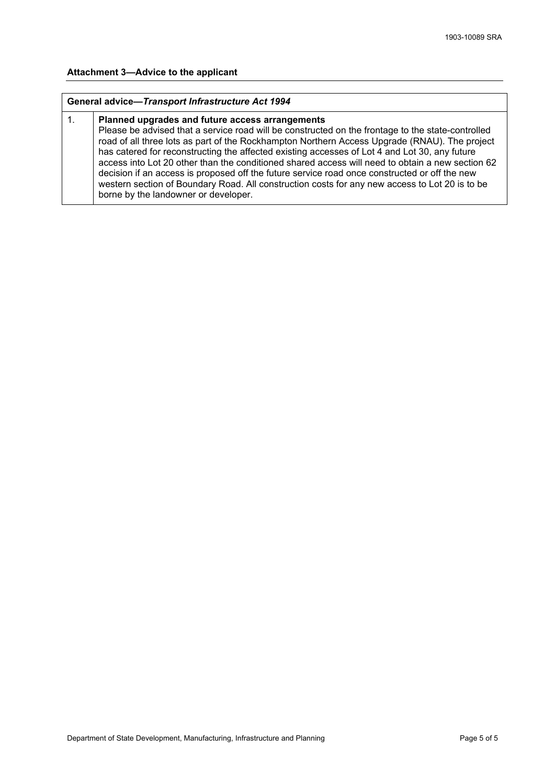#### **Attachment 3—Advice to the applicant**

#### **General advice—***Transport Infrastructure Act 1994*

#### 1. **Planned upgrades and future access arrangements** Please be advised that a service road will be constructed on the frontage to the state-controlled road of all three lots as part of the Rockhampton Northern Access Upgrade (RNAU). The project has catered for reconstructing the affected existing accesses of Lot 4 and Lot 30, any future access into Lot 20 other than the conditioned shared access will need to obtain a new section 62 decision if an access is proposed off the future service road once constructed or off the new western section of Boundary Road. All construction costs for any new access to Lot 20 is to be borne by the landowner or developer.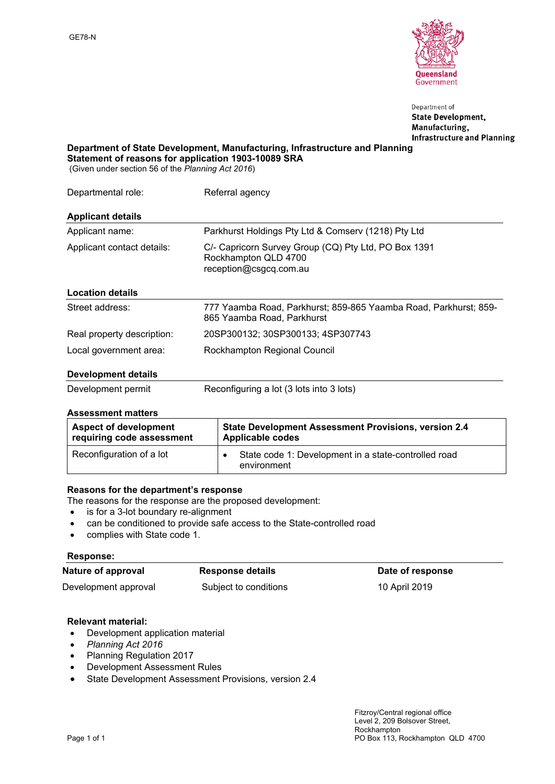

Department of **State Development,** Manufacturing, **Infrastructure and Planning** 

**Department of State Development, Manufacturing, Infrastructure and Planning Statement of reasons for application 1903-10089 SRA**

(Given under section 56 of the *Planning Act 2016*)

| Departmental role:         | Referral agency                                                                                        |  |
|----------------------------|--------------------------------------------------------------------------------------------------------|--|
| <b>Applicant details</b>   |                                                                                                        |  |
| Applicant name:            | Parkhurst Holdings Pty Ltd & Comserv (1218) Pty Ltd                                                    |  |
| Applicant contact details: | C/- Capricorn Survey Group (CQ) Pty Ltd, PO Box 1391<br>Rockhampton QLD 4700<br>reception@csgcq.com.au |  |
| <b>Location details</b>    |                                                                                                        |  |
| Street address:            | 777 Yaamba Road, Parkhurst; 859-865 Yaamba Road, Parkhurst; 859-<br>865 Yaamba Road, Parkhurst         |  |
| Real property description: | 20SP300132; 30SP300133; 4SP307743                                                                      |  |
| Local government area:     | Rockhampton Regional Council                                                                           |  |
| Dovolonmont dotaile        |                                                                                                        |  |

### **Development details**

| Development permit | Reconfiguring a lot (3 lots into 3 lots) |
|--------------------|------------------------------------------|
|--------------------|------------------------------------------|

#### **Assessment matters**

| <b>Aspect of development</b> | State Development Assessment Provisions, version 2.4                |  |  |
|------------------------------|---------------------------------------------------------------------|--|--|
| requiring code assessment    | <b>Applicable codes</b>                                             |  |  |
| Reconfiguration of a lot     | State code 1: Development in a state-controlled road<br>environment |  |  |

### **Reasons for the department's response**

The reasons for the response are the proposed development:

- is for a 3-lot boundary re-alignment
- can be conditioned to provide safe access to the State-controlled road
- complies with State code 1.

#### **Response:**

## **Nature of approval Response details Date of response**

Development approval Subject to conditions 10 April 2019

#### **Relevant material:**

- Development application material
- *Planning Act 2016*
- Planning Regulation 2017
- Development Assessment Rules
- State Development Assessment Provisions, version 2.4